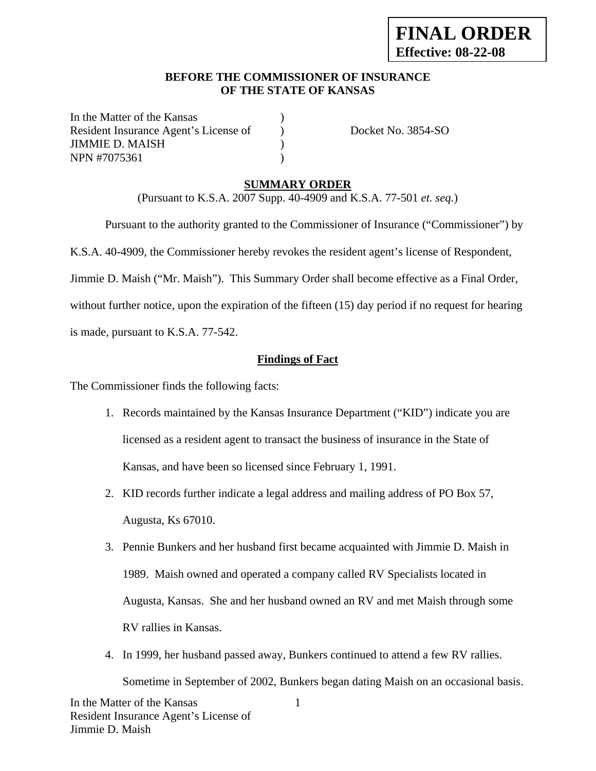#### **BEFORE THE COMMISSIONER OF INSURANCE OF THE STATE OF KANSAS**

In the Matter of the Kansas Resident Insurance Agent's License of ) Docket No. 3854-SO JIMMIE D. MAISH ) NPN #7075361 )

#### **SUMMARY ORDER**

(Pursuant to K.S.A. 2007 Supp. 40-4909 and K.S.A. 77-501 *et. seq.*)

 Pursuant to the authority granted to the Commissioner of Insurance ("Commissioner") by K.S.A. 40-4909, the Commissioner hereby revokes the resident agent's license of Respondent, Jimmie D. Maish ("Mr. Maish"). This Summary Order shall become effective as a Final Order, without further notice, upon the expiration of the fifteen (15) day period if no request for hearing

is made, pursuant to K.S.A. 77-542.

## **Findings of Fact**

The Commissioner finds the following facts:

- 1. Records maintained by the Kansas Insurance Department ("KID") indicate you are licensed as a resident agent to transact the business of insurance in the State of Kansas, and have been so licensed since February 1, 1991.
- 2. KID records further indicate a legal address and mailing address of PO Box 57, Augusta, Ks 67010.
- 3. Pennie Bunkers and her husband first became acquainted with Jimmie D. Maish in 1989. Maish owned and operated a company called RV Specialists located in Augusta, Kansas. She and her husband owned an RV and met Maish through some RV rallies in Kansas.
- 1 4. In 1999, her husband passed away, Bunkers continued to attend a few RV rallies. Sometime in September of 2002, Bunkers began dating Maish on an occasional basis.

In the Matter of the Kansas Resident Insurance Agent's License of Jimmie D. Maish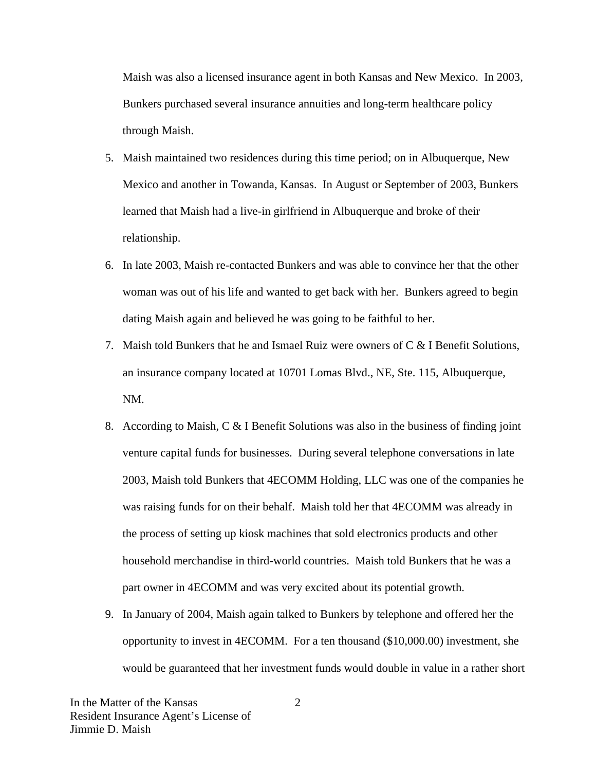Maish was also a licensed insurance agent in both Kansas and New Mexico. In 2003, Bunkers purchased several insurance annuities and long-term healthcare policy through Maish.

- 5. Maish maintained two residences during this time period; on in Albuquerque, New Mexico and another in Towanda, Kansas. In August or September of 2003, Bunkers learned that Maish had a live-in girlfriend in Albuquerque and broke of their relationship.
- 6. In late 2003, Maish re-contacted Bunkers and was able to convince her that the other woman was out of his life and wanted to get back with her. Bunkers agreed to begin dating Maish again and believed he was going to be faithful to her.
- 7. Maish told Bunkers that he and Ismael Ruiz were owners of  $C \& B$  Benefit Solutions, an insurance company located at 10701 Lomas Blvd., NE, Ste. 115, Albuquerque, NM.
- 8. According to Maish, C & I Benefit Solutions was also in the business of finding joint venture capital funds for businesses. During several telephone conversations in late 2003, Maish told Bunkers that 4ECOMM Holding, LLC was one of the companies he was raising funds for on their behalf. Maish told her that 4ECOMM was already in the process of setting up kiosk machines that sold electronics products and other household merchandise in third-world countries. Maish told Bunkers that he was a part owner in 4ECOMM and was very excited about its potential growth.
- 9. In January of 2004, Maish again talked to Bunkers by telephone and offered her the opportunity to invest in 4ECOMM. For a ten thousand (\$10,000.00) investment, she would be guaranteed that her investment funds would double in value in a rather short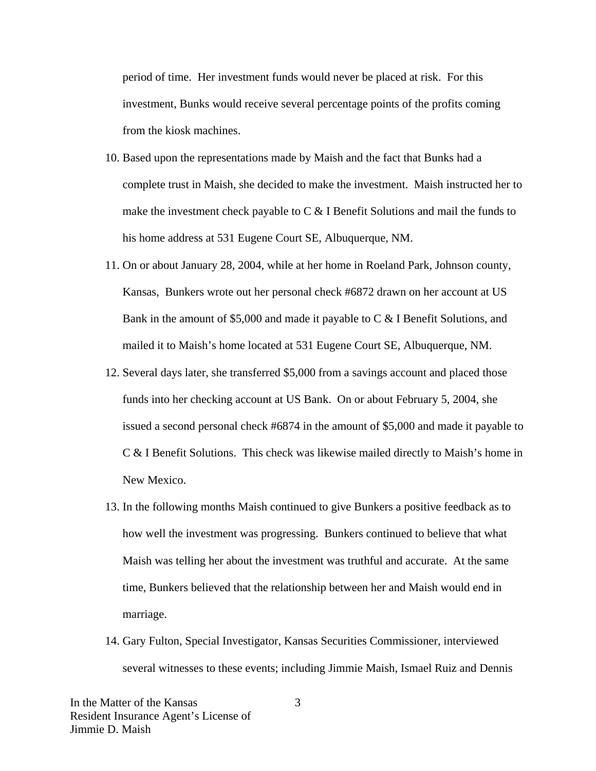period of time. Her investment funds would never be placed at risk. For this investment, Bunks would receive several percentage points of the profits coming from the kiosk machines.

- 10. Based upon the representations made by Maish and the fact that Bunks had a complete trust in Maish, she decided to make the investment. Maish instructed her to make the investment check payable to  $C < I$  Benefit Solutions and mail the funds to his home address at 531 Eugene Court SE, Albuquerque, NM.
- 11. On or about January 28, 2004, while at her home in Roeland Park, Johnson county, Kansas, Bunkers wrote out her personal check #6872 drawn on her account at US Bank in the amount of \$5,000 and made it payable to C & I Benefit Solutions, and mailed it to Maish's home located at 531 Eugene Court SE, Albuquerque, NM.
- 12. Several days later, she transferred \$5,000 from a savings account and placed those funds into her checking account at US Bank. On or about February 5, 2004, she issued a second personal check #6874 in the amount of \$5,000 and made it payable to C & I Benefit Solutions. This check was likewise mailed directly to Maish's home in New Mexico.
- 13. In the following months Maish continued to give Bunkers a positive feedback as to how well the investment was progressing. Bunkers continued to believe that what Maish was telling her about the investment was truthful and accurate. At the same time, Bunkers believed that the relationship between her and Maish would end in marriage.
- 14. Gary Fulton, Special Investigator, Kansas Securities Commissioner, interviewed several witnesses to these events; including Jimmie Maish, Ismael Ruiz and Dennis

In the Matter of the Kansas Resident Insurance Agent's License of Jimmie D. Maish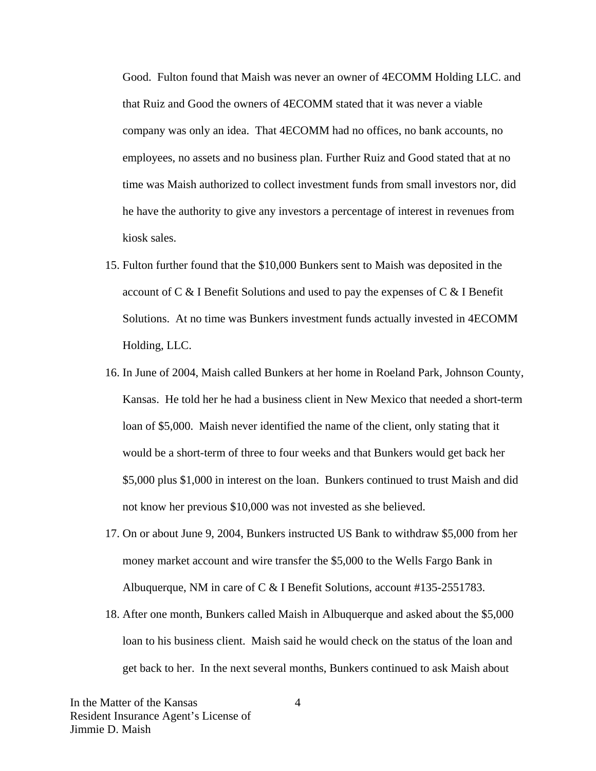Good. Fulton found that Maish was never an owner of 4ECOMM Holding LLC. and that Ruiz and Good the owners of 4ECOMM stated that it was never a viable company was only an idea. That 4ECOMM had no offices, no bank accounts, no employees, no assets and no business plan. Further Ruiz and Good stated that at no time was Maish authorized to collect investment funds from small investors nor, did he have the authority to give any investors a percentage of interest in revenues from kiosk sales.

- 15. Fulton further found that the \$10,000 Bunkers sent to Maish was deposited in the account of C & I Benefit Solutions and used to pay the expenses of C & I Benefit Solutions. At no time was Bunkers investment funds actually invested in 4ECOMM Holding, LLC.
- 16. In June of 2004, Maish called Bunkers at her home in Roeland Park, Johnson County, Kansas. He told her he had a business client in New Mexico that needed a short-term loan of \$5,000. Maish never identified the name of the client, only stating that it would be a short-term of three to four weeks and that Bunkers would get back her \$5,000 plus \$1,000 in interest on the loan. Bunkers continued to trust Maish and did not know her previous \$10,000 was not invested as she believed.
- 17. On or about June 9, 2004, Bunkers instructed US Bank to withdraw \$5,000 from her money market account and wire transfer the \$5,000 to the Wells Fargo Bank in Albuquerque, NM in care of C & I Benefit Solutions, account #135-2551783.
- 18. After one month, Bunkers called Maish in Albuquerque and asked about the \$5,000 loan to his business client. Maish said he would check on the status of the loan and get back to her. In the next several months, Bunkers continued to ask Maish about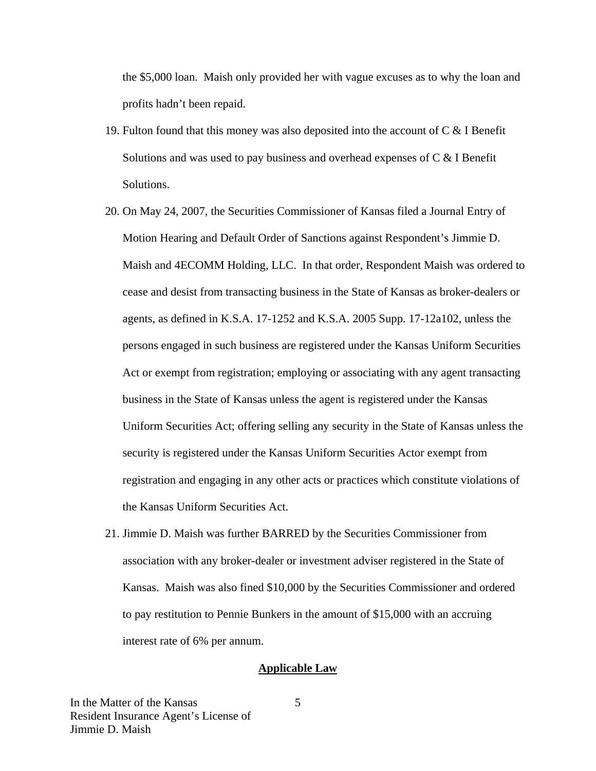the \$5,000 loan. Maish only provided her with vague excuses as to why the loan and profits hadn't been repaid.

- 19. Fulton found that this money was also deposited into the account of C & I Benefit Solutions and was used to pay business and overhead expenses of  $C < I$  Benefit Solutions.
- 20. On May 24, 2007, the Securities Commissioner of Kansas filed a Journal Entry of Motion Hearing and Default Order of Sanctions against Respondent's Jimmie D. Maish and 4ECOMM Holding, LLC. In that order, Respondent Maish was ordered to cease and desist from transacting business in the State of Kansas as broker-dealers or agents, as defined in K.S.A. 17-1252 and K.S.A. 2005 Supp. 17-12a102, unless the persons engaged in such business are registered under the Kansas Uniform Securities Act or exempt from registration; employing or associating with any agent transacting business in the State of Kansas unless the agent is registered under the Kansas Uniform Securities Act; offering selling any security in the State of Kansas unless the security is registered under the Kansas Uniform Securities Actor exempt from registration and engaging in any other acts or practices which constitute violations of the Kansas Uniform Securities Act.
- 21. Jimmie D. Maish was further BARRED by the Securities Commissioner from association with any broker-dealer or investment adviser registered in the State of Kansas. Maish was also fined \$10,000 by the Securities Commissioner and ordered to pay restitution to Pennie Bunkers in the amount of \$15,000 with an accruing interest rate of 6% per annum.

#### **Applicable Law**

5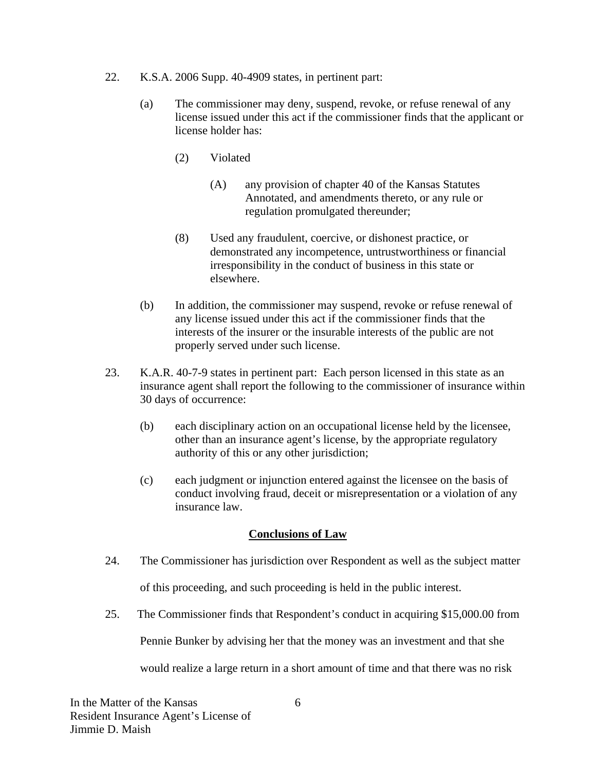- 22. K.S.A. 2006 Supp. 40-4909 states, in pertinent part:
	- (a) The commissioner may deny, suspend, revoke, or refuse renewal of any license issued under this act if the commissioner finds that the applicant or license holder has:
		- (2) Violated
			- (A) any provision of chapter 40 of the Kansas Statutes Annotated, and amendments thereto, or any rule or regulation promulgated thereunder;
		- (8) Used any fraudulent, coercive, or dishonest practice, or demonstrated any incompetence, untrustworthiness or financial irresponsibility in the conduct of business in this state or elsewhere.
	- (b) In addition, the commissioner may suspend, revoke or refuse renewal of any license issued under this act if the commissioner finds that the interests of the insurer or the insurable interests of the public are not properly served under such license.
- 23. K.A.R. 40-7-9 states in pertinent part: Each person licensed in this state as an insurance agent shall report the following to the commissioner of insurance within 30 days of occurrence:
	- (b) each disciplinary action on an occupational license held by the licensee, other than an insurance agent's license, by the appropriate regulatory authority of this or any other jurisdiction;
	- (c) each judgment or injunction entered against the licensee on the basis of conduct involving fraud, deceit or misrepresentation or a violation of any insurance law.

#### **Conclusions of Law**

- 24. The Commissioner has jurisdiction over Respondent as well as the subject matter of this proceeding, and such proceeding is held in the public interest.
- 25. The Commissioner finds that Respondent's conduct in acquiring \$15,000.00 from

Pennie Bunker by advising her that the money was an investment and that she

would realize a large return in a short amount of time and that there was no risk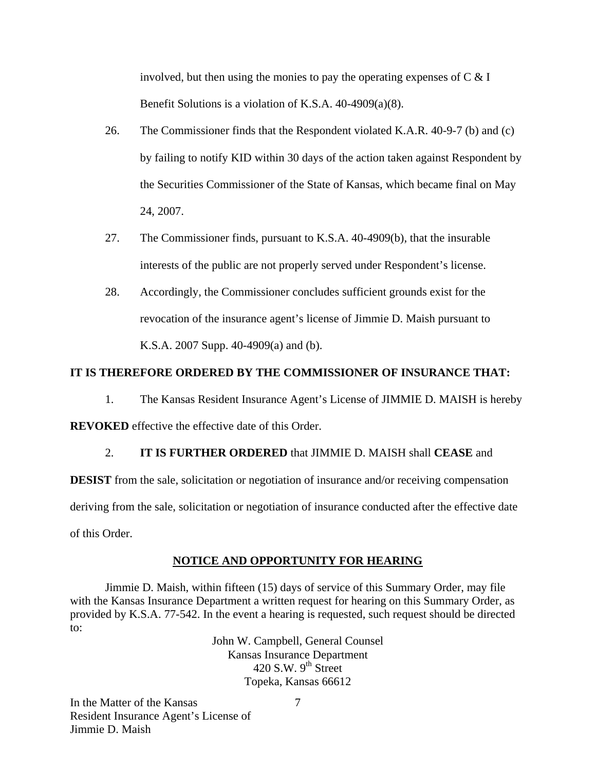involved, but then using the monies to pay the operating expenses of  $C \& I$ Benefit Solutions is a violation of K.S.A. 40-4909(a)(8).

- 26. The Commissioner finds that the Respondent violated K.A.R. 40-9-7 (b) and (c) by failing to notify KID within 30 days of the action taken against Respondent by the Securities Commissioner of the State of Kansas, which became final on May 24, 2007.
- 27. The Commissioner finds, pursuant to K.S.A. 40-4909(b), that the insurable interests of the public are not properly served under Respondent's license.
- 28. Accordingly, the Commissioner concludes sufficient grounds exist for the revocation of the insurance agent's license of Jimmie D. Maish pursuant to K.S.A. 2007 Supp. 40-4909(a) and (b).

# **IT IS THEREFORE ORDERED BY THE COMMISSIONER OF INSURANCE THAT:**

1. The Kansas Resident Insurance Agent's License of JIMMIE D. MAISH is hereby **REVOKED** effective the effective date of this Order.

# 2. **IT IS FURTHER ORDERED** that JIMMIE D. MAISH shall **CEASE** and

**DESIST** from the sale, solicitation or negotiation of insurance and/or receiving compensation deriving from the sale, solicitation or negotiation of insurance conducted after the effective date of this Order.

#### **NOTICE AND OPPORTUNITY FOR HEARING**

Jimmie D. Maish, within fifteen (15) days of service of this Summary Order, may file with the Kansas Insurance Department a written request for hearing on this Summary Order, as provided by K.S.A. 77-542. In the event a hearing is requested, such request should be directed to:

> John W. Campbell, General Counsel Kansas Insurance Department 420 S.W.  $9<sup>th</sup>$  Street Topeka, Kansas 66612

In the Matter of the Kansas Resident Insurance Agent's License of Jimmie D. Maish

7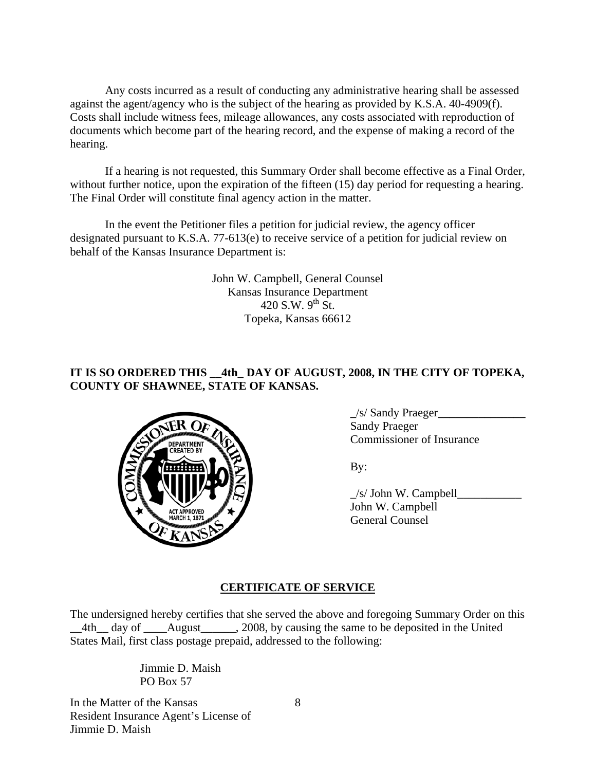Any costs incurred as a result of conducting any administrative hearing shall be assessed against the agent/agency who is the subject of the hearing as provided by K.S.A. 40-4909(f). Costs shall include witness fees, mileage allowances, any costs associated with reproduction of documents which become part of the hearing record, and the expense of making a record of the hearing.

If a hearing is not requested, this Summary Order shall become effective as a Final Order, without further notice, upon the expiration of the fifteen (15) day period for requesting a hearing. The Final Order will constitute final agency action in the matter.

In the event the Petitioner files a petition for judicial review, the agency officer designated pursuant to K.S.A. 77-613(e) to receive service of a petition for judicial review on behalf of the Kansas Insurance Department is:

> John W. Campbell, General Counsel Kansas Insurance Department 420 S.W.  $9^{th}$  St. Topeka, Kansas 66612

## **IT IS SO ORDERED THIS \_\_4th\_ DAY OF AUGUST, 2008, IN THE CITY OF TOPEKA, COUNTY OF SHAWNEE, STATE OF KANSAS.**



 **\_**/s/ Sandy Praeger**\_\_\_\_\_\_\_\_\_\_\_\_\_\_\_** Sandy Praeger Commissioner of Insurance

 $/s$  John W. Campbell John W. Campbell General Counsel

# **CERTIFICATE OF SERVICE**

The undersigned hereby certifies that she served the above and foregoing Summary Order on this 4th day of August 2008, by causing the same to be deposited in the United States Mail, first class postage prepaid, addressed to the following:

> Jimmie D. Maish PO Box 57

In the Matter of the Kansas Resident Insurance Agent's License of Jimmie D. Maish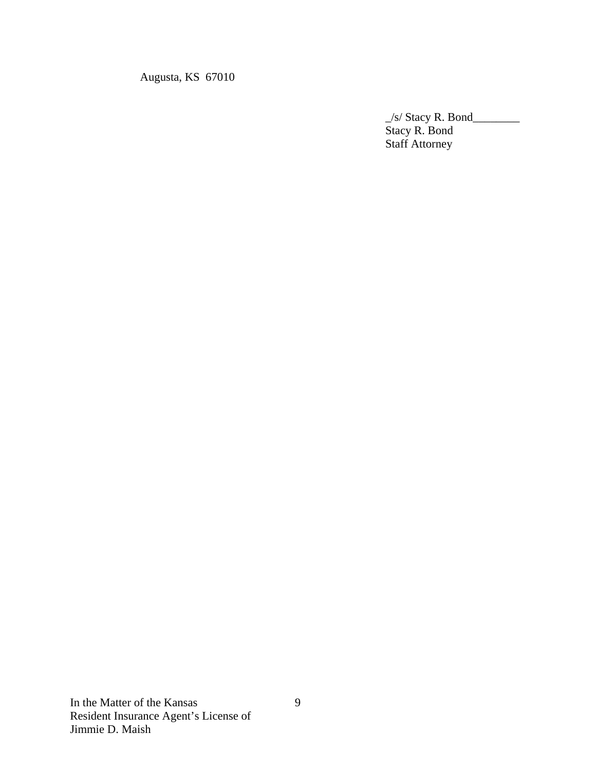Augusta, KS 67010

 $\frac{1}{s}$  Stacy R. Bond Stacy R. Bond Staff Attorney